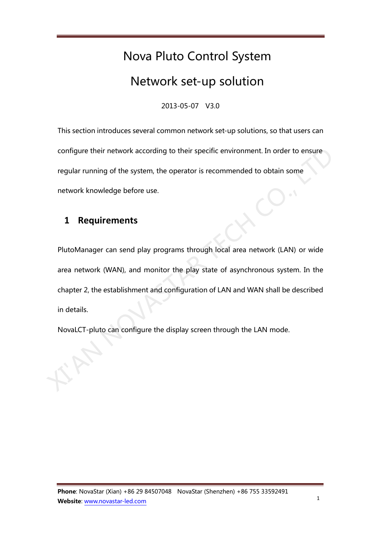# Nova Pluto Control System Network set-up solution

2013-05-07 V3.0

This section introduces several common network set-up solutions, so that users can configure their network according to their specific environment. In order to ensure regular running of the system, the operator is recommended to obtain some network knowledge before use.

# **1 Requirements**

PlutoManager can send play programs through local area network (LAN) or wide area network (WAN), and monitor the play state of asynchronous system. In the chapter 2, the establishment and configuration of LAN and WAN shall be described in details. configure their network according to their specific environment. In order to ensure<br>regular running of the system, the operator is recommended to obtain some<br>network knowledge before use.<br>1 **Requirements**<br>PlutoManager can

NovaLCT-pluto can configure the display screen through the LAN mode.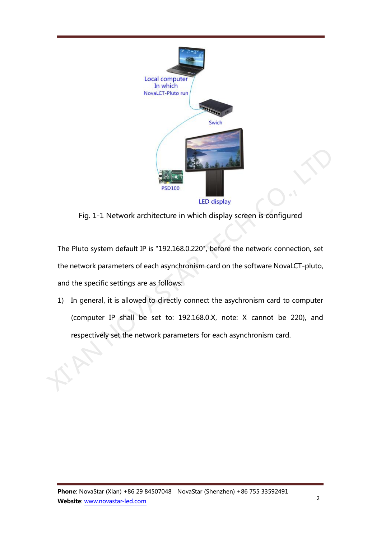

Fig. 1-1 Network architecture in which display screen is configured

The Pluto system default IP is "192.168.0.220", before the network connection, set the network parameters of each asynchronism card on the software NovaLCT-pluto, and the specific settings are as follows: Fig. 1-1 Network architecture in which display<br>Fig. 1-1 Network architecture in which display screen is configured<br>The Pluto system default IP is "192.168.0.220", before the network connection, set<br>the network parameters o

1) In general, it is allowed to directly connect the asychronism card to computer (computer IP shall be set to: 192.168.0.X, note: X cannot be 220), and respectively set the network parameters for each asynchronism card.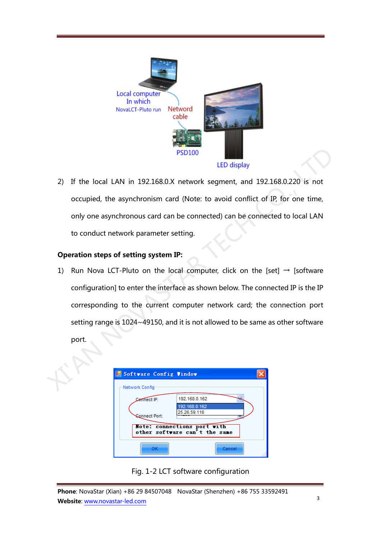

2) If the local LAN in 192.168.0.X network segment, and 192.168.0.220 is not occupied, the asynchronism card (Note: to avoid conflict of IP, for one time, only one asynchronous card can be connected) can be connected to local LAN to conduct network parameter setting.

#### Operation steps of setting system IP:

1) Run Nova LCT-Pluto on the local computer, click on the [set]  $\rightarrow$  [software configuration] to enter the interface as shown below. The connected IP is the IP corresponding to the current computer network card; the connection port setting range is 1024~49150, and it is not allowed to be same as other software port. PSD100<br>
LED display<br>
2) If the local LAN in 192.168.0.X network segment, and 192.168.0.220 is not<br>
occupied, the asynchronism card (Note: to avoid conflict of IP, for one time,<br>
only one asynchronous card can be connected

| Software Config Vindow |                                                              |  |
|------------------------|--------------------------------------------------------------|--|
| Network Config         |                                                              |  |
| Connect IP:            | 192.168.0.162                                                |  |
| <b>Connect Port:</b>   | 192.168.0.162<br>25.26.59.116                                |  |
|                        | Mote: connections port with<br>other software can't the same |  |
| ок                     | Cancel                                                       |  |

Fig. 1-2 LCT software configuration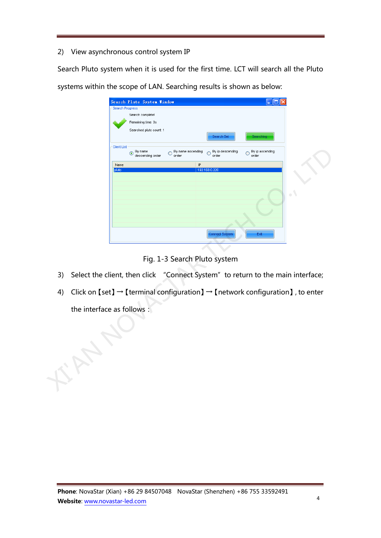## 2) View asynchronous control system IP

Search Pluto system when it is used for the first time. LCT will search all the Pluto systems within the scope of LAN. Searching results is shown as below:

|    |                            |                    | Search Pluto System Vindov                    |                                 |                                                                                                       |                               |           |
|----|----------------------------|--------------------|-----------------------------------------------|---------------------------------|-------------------------------------------------------------------------------------------------------|-------------------------------|-----------|
|    |                            | Search Progress    |                                               |                                 |                                                                                                       |                               |           |
|    |                            |                    | Search complete!                              |                                 |                                                                                                       |                               |           |
|    |                            |                    | Remaining time: 0s<br>Searched pluto count: 1 |                                 |                                                                                                       |                               |           |
|    |                            |                    |                                               |                                 | Search Set                                                                                            | earching                      |           |
|    |                            | <b>Client List</b> | By name<br>$\odot$<br>descending order        | By name ascending<br>∩<br>order | By ip descending<br>O<br>order                                                                        | By ip ascending<br>Ο<br>order |           |
|    |                            | Name               |                                               |                                 | $\mathsf{P}$                                                                                          |                               |           |
|    |                            | pluto              |                                               |                                 | 192.168.0.220                                                                                         |                               |           |
|    |                            |                    |                                               |                                 |                                                                                                       |                               |           |
|    |                            |                    |                                               |                                 |                                                                                                       |                               |           |
|    |                            |                    |                                               |                                 |                                                                                                       |                               | $\bullet$ |
|    |                            |                    |                                               |                                 |                                                                                                       |                               |           |
|    |                            |                    |                                               |                                 |                                                                                                       |                               |           |
|    |                            |                    |                                               |                                 |                                                                                                       |                               |           |
|    |                            |                    |                                               |                                 | Connect System                                                                                        | Exit                          |           |
|    |                            |                    |                                               |                                 |                                                                                                       |                               |           |
|    |                            |                    |                                               |                                 |                                                                                                       |                               |           |
|    |                            |                    |                                               |                                 | Fig. 1-3 Search Pluto system                                                                          |                               |           |
| 3) |                            |                    |                                               |                                 | Select the client, then click "Connect System" to return to the main interface;                       |                               |           |
| 4) |                            |                    |                                               |                                 | Click on [set] $\rightarrow$ [terminal configuration] $\rightarrow$ [network configuration], to enter |                               |           |
|    |                            |                    |                                               |                                 |                                                                                                       |                               |           |
|    | the interface as follows : |                    |                                               |                                 |                                                                                                       |                               |           |
|    |                            |                    |                                               |                                 |                                                                                                       |                               |           |
|    |                            |                    |                                               |                                 |                                                                                                       |                               |           |
|    |                            |                    |                                               |                                 |                                                                                                       |                               |           |
|    |                            |                    |                                               |                                 |                                                                                                       |                               |           |
|    |                            |                    |                                               |                                 |                                                                                                       |                               |           |
|    |                            |                    |                                               |                                 |                                                                                                       |                               |           |
|    |                            |                    |                                               |                                 |                                                                                                       |                               |           |
|    |                            |                    |                                               |                                 |                                                                                                       |                               |           |
|    |                            |                    |                                               |                                 |                                                                                                       |                               |           |
|    |                            |                    |                                               |                                 |                                                                                                       |                               |           |
|    |                            |                    |                                               |                                 |                                                                                                       |                               |           |

- 3) Select the client, then click "Connect System" to return to the main interface;
- 4) Click on [set]  $\rightarrow$  [terminal configuration]  $\rightarrow$  [network configuration], to enter the interface as follows: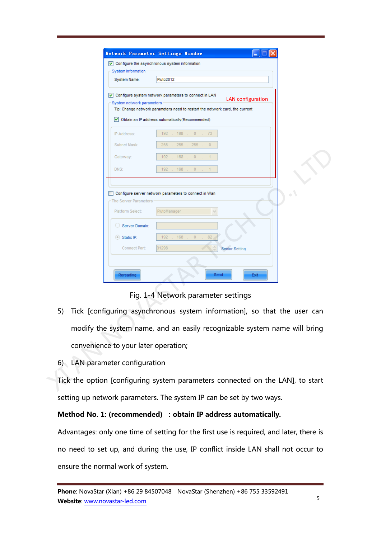| System Information                                                        | $\triangledown$ Configure the asynchronous system information                                                                                                                                                           |
|---------------------------------------------------------------------------|-------------------------------------------------------------------------------------------------------------------------------------------------------------------------------------------------------------------------|
| System Name:                                                              | Pluto2012                                                                                                                                                                                                               |
| System network parameters                                                 | √ Configure system network parameters to connect in LAN<br><b>LAN</b> configuration<br>Tip: Change network parameters need to restart the network card, the current<br>Obtain an IP address automatically (Recommended) |
| IP Address:                                                               | 73<br>192<br>168<br>$\circ$                                                                                                                                                                                             |
| Subnet Mask:                                                              | 255<br>255<br>255<br>$\bf{0}$                                                                                                                                                                                           |
| Gateway:                                                                  | 192<br>168<br>$\bf{0}$                                                                                                                                                                                                  |
| DNS:                                                                      | 192<br>168<br>$\mathbf{0}$                                                                                                                                                                                              |
|                                                                           |                                                                                                                                                                                                                         |
| The Server Parameters<br>Platform Select:<br>Server Domain:<br>Static IP: | PlutoManager<br>192<br>168<br>82<br>$\theta$                                                                                                                                                                            |
| Connect Port:<br>Rereading                                                | 31298<br><b>Senior Setting</b><br>Send<br>Exit                                                                                                                                                                          |
|                                                                           | Fig. 1-4 Network parameter settings                                                                                                                                                                                     |
|                                                                           | Tick [configuring asynchronous system information], so that the user can                                                                                                                                                |
|                                                                           | modify the system name, and an easily recognizable system name will bring                                                                                                                                               |
| $\sim$<br>convenience to your later operation;                            |                                                                                                                                                                                                                         |
| 6) LAN parameter configuration                                            |                                                                                                                                                                                                                         |

Fig. 1-4 Network parameter settings

- 5) Tick [configuring asynchronous system information], so that the user can modify the system name, and an easily recognizable system name will bring convenience to your later operation;
- 6) LAN parameter configuration

Tick the option [configuring system parameters connected on the LAN], to start setting up network parameters. The system IP can be set by two ways.

#### Method No. 1: (recommended) : obtain IP address automatically.

Advantages: only one time of setting for the first use is required, and later, there is no need to set up, and during the use, IP conflict inside LAN shall not occur to ensure the normal work of system.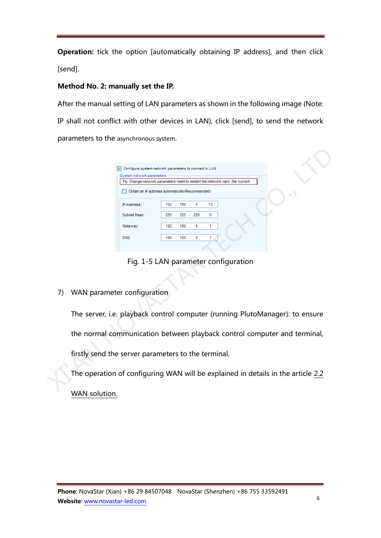**Operation:** tick the option [automatically obtaining IP address], and then click [send].

## Method No. 2: manually set the IP.

After the manual setting of LAN parameters as shown in the following image (Note: IP shall not conflict with other devices in LAN), click [send], to send the network parameters to the asynchronous system.

|    | Configure system network parameters to connect in LAN                                                     |
|----|-----------------------------------------------------------------------------------------------------------|
|    | System network parameters<br>Tip: Change network parameters need to restart the network card, the current |
|    | Obtain an IP address automatically (Recommended)                                                          |
|    | 192 . 168 . 0 . 73<br>IP Address:                                                                         |
|    | 255 . 255 .<br>Subnet Mask:<br>$255$ .<br>0                                                               |
|    | 192. 168.<br>0<br>Gateway:<br>$\mathbf{1}$                                                                |
|    | 192. 168.<br>$0 \quad .$<br>DNS:<br>1                                                                     |
|    |                                                                                                           |
|    | Fig. 1-5 LAN parameter configuration                                                                      |
|    |                                                                                                           |
|    |                                                                                                           |
| 7) | WAN parameter configuration                                                                               |
|    |                                                                                                           |
|    |                                                                                                           |
|    | The server, i.e. playback control computer (running PlutoManager): to ensure                              |
|    |                                                                                                           |
|    | the normal communication between playback control computer and terminal,                                  |
|    |                                                                                                           |
|    | firstly send the server parameters to the terminal.                                                       |
|    |                                                                                                           |
|    | The operation of configuring WAN will be explained in details in the article 2.2                          |
|    |                                                                                                           |

WAN solution.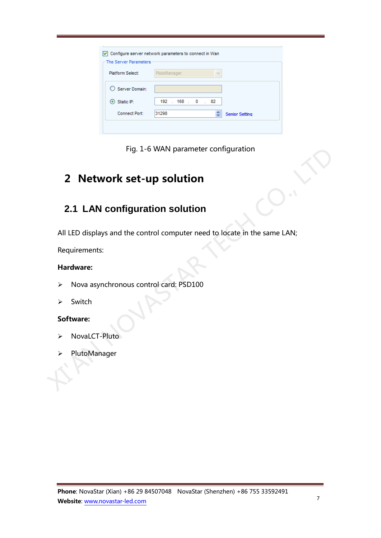| The Server Parameters     |              |                       |
|---------------------------|--------------|-----------------------|
| Platform Select:          | PlutoManager |                       |
| $\bigcirc$ Server Domain: |              |                       |
| $\odot$ Static IP:        | 192.168.0.82 |                       |
| Connect Port:             | 31298        | <b>Senior Setting</b> |



# 2 Network set-up solution

# **2.1 LAN configuration solution**

All LED displays and the control computer need to locate in the same LAN; Fig. 1-6 WAN parameter contiguration<br>
2. 1 LAN configuration solution<br>
2.1 LAN configuration solution<br>
All LED displays and the control computer need to locate in the same LAN;<br>
Requirements:<br>
X Hardware:<br>
X Nova asynchron

Requirements:

## Hardware:

- > Nova asynchronous control card: PSD100
- $\triangleright$  Switch

## Software:

- NovaLCT-Pluto
- PlutoManager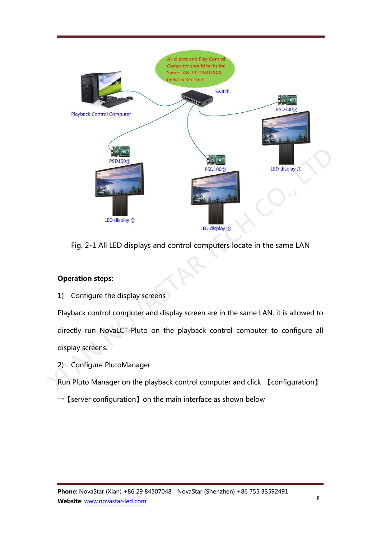

Fig. 2-1 All LED displays and control computers locate in the same LAN

## Operation steps:

1) Configure the display screens

Playback control computer and display screen are in the same LAN, it is allowed to directly run NovaLCT-Pluto on the playback control computer to configure all display screens.

2) Configure PlutoManager

Run Pluto Manager on the playback control computer and click 【configuration】

 $\rightarrow$  [server configuration] on the main interface as shown below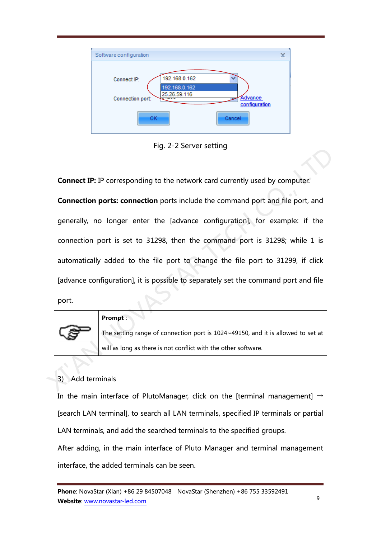

Fig. 2-2 Server setting

Connect IP: IP corresponding to the network card currently used by computer.

Connection ports: connection ports include the command port and file port, and generally, no longer enter the [advance configuration], for example: if the connection port is set to 31298, then the command port is 31298; while 1 is automatically added to the file port to change the file port to 31299, if click [advance configuration], it is possible to separately set the command port and file port. Connect IP: IP corresponding to the network card currently used by computer.<br>
Connection ports: connection ports include the command port and file port, and<br>
generally, no longer enter the [advance configuration], for exam



#### Prompt:

The setting range of connection port is 1024~49150, and it is allowed to set at will as long as there is not conflict with the other software.

# 3) Add terminals

In the main interface of PlutoManager, click on the Iterminal management  $\rightarrow$ [search LAN terminal], to search all LAN terminals, specified IP terminals or partial LAN terminals, and add the searched terminals to the specified groups.

After adding, in the main interface of Pluto Manager and terminal management interface, the added terminals can be seen.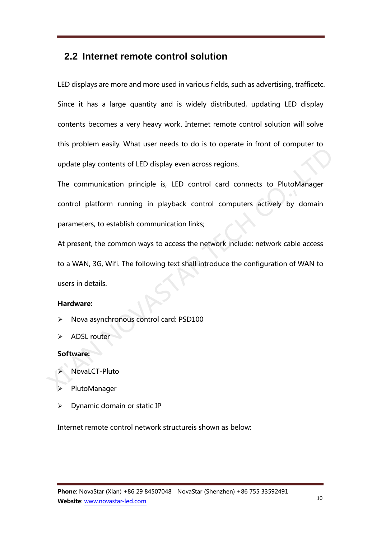# **2.2 Internet remote control solution**

LED displays are more and more used in various fields, such as advertising, trafficetc. Since it has a large quantity and is widely distributed, updating LED display contents becomes a very heavy work. Internet remote control solution will solve this problem easily. What user needs to do is to operate in front of computer to update play contents of LED display even across regions.

The communication principle is, LED control card connects to PlutoManager control platform running in playback control computers actively by domain parameters, to establish communication links; update play contents of LED display even across regions.<br>The communication principle is, LED control card connects to PlutoManager<br>control platform running in playback control computers actively by domain<br>parameters, to es

At present, the common ways to access the network include: network cable access to a WAN, 3G, Wifi. The following text shall introduce the configuration of WAN to users in details.

#### Hardware:

- Nova asynchronous control card: PSD100
- ADSL router

#### Software:

- NovaLCT-Pluto
- PlutoManager
- $\triangleright$  Dynamic domain or static IP

Internet remote control network structureis shown as below: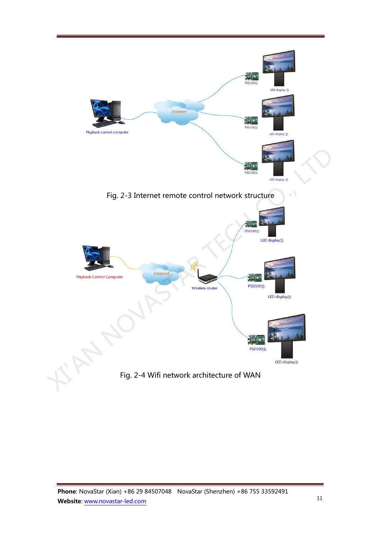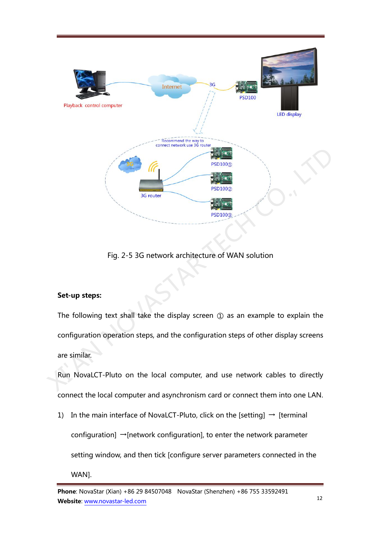

Fig. 2-5 3G network architecture of WAN solution

# Set-up steps:

The following text shall take the display screen ① as an example to explain the configuration operation steps, and the configuration steps of other display screens are similar.

Run NovaLCT-Pluto on the local computer, and use network cables to directly connect the local computer and asynchronism card or connect them into one LAN.

1) In the main interface of NovaLCT-Pluto, click on the [setting]  $\rightarrow$  [terminal configuration] →[network configuration], to enter the network parameter setting window, and then tick [configure server parameters connected in the

WAN].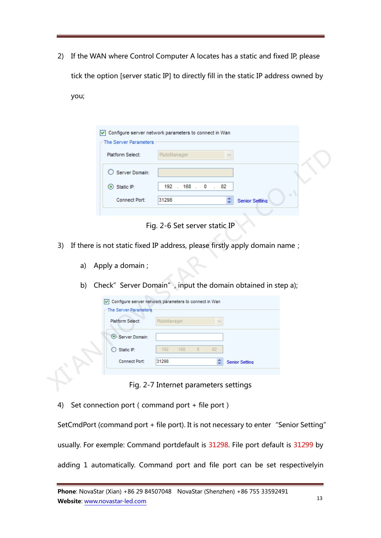2) If the WAN where Control Computer A locates has a static and fixed IP, please tick the option [server static IP] to directly fill in the static IP address owned by

you;

| $\sim$ The Server Parameters | Configure server network parameters to connect in Wan |  |
|------------------------------|-------------------------------------------------------|--|
| Platform Select:             | PlutoManager                                          |  |
| ◯ Server Domain:             |                                                       |  |
| $\odot$ Static IP:           | 192. 168. 0. 82                                       |  |
| Connect Port:                | $\blacksquare$<br>31298<br><b>Senior Setting</b>      |  |
|                              |                                                       |  |

Fig. 2-6 Set server static IP

- 3) If there is not static fixed IP address, please firstly apply domain name;
	- a) Apply a domain ;
	- b) Check" Server Domain", input the domain obtained in step a);

|    | Platform Select:                                                           | PlutoManager                          |                       |                       |  |
|----|----------------------------------------------------------------------------|---------------------------------------|-----------------------|-----------------------|--|
|    | Server Domain:                                                             |                                       |                       |                       |  |
|    | Static IP:<br>$\left( \bullet \right)$                                     | 192 . 168 . 0                         | .82                   |                       |  |
|    | Connect Port:                                                              | 31298                                 | ≎                     | <b>Senior Setting</b> |  |
|    |                                                                            |                                       |                       |                       |  |
|    |                                                                            | Fig. 2-6 Set server static IP         |                       |                       |  |
| 3) | If there is not static fixed IP address, please firstly apply domain name; |                                       |                       |                       |  |
|    |                                                                            |                                       |                       |                       |  |
| a) | Apply a domain;                                                            |                                       |                       |                       |  |
|    |                                                                            |                                       |                       |                       |  |
| b) | Check" Server Domain", input the domain obtained in step a);               |                                       |                       |                       |  |
|    | O Configure server network parameters to connect in Wan                    |                                       |                       |                       |  |
|    | The Server Parameters                                                      |                                       |                       |                       |  |
|    | Platform Select:                                                           | PlutoManager                          |                       |                       |  |
|    | Server Domain:                                                             |                                       |                       |                       |  |
|    | Static IP:                                                                 | 192<br>. 168 . 0 .                    | 82                    |                       |  |
|    | Connect Port:                                                              | 31298                                 | <b>Senior Setting</b> |                       |  |
|    |                                                                            |                                       |                       |                       |  |
|    |                                                                            | Fig. 2-7 Internet parameters settings |                       |                       |  |

Fig. 2-7 Internet parameters settings

4) Set connection port (command port + file port)

SetCmdPort (command port + file port). It is not necessary to enter "Senior Setting" usually. For exemple: Command portdefault is 31298. File port default is 31299 by adding 1 automatically. Command port and file port can be set respectivelyin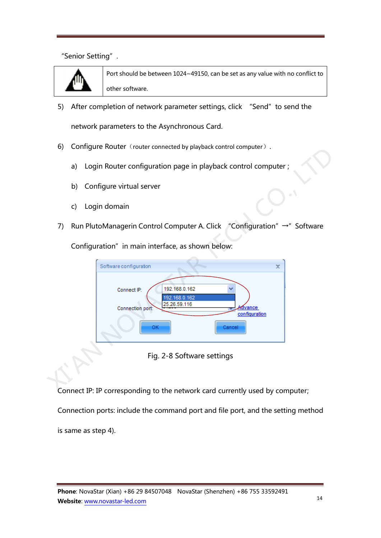"Senior Setting".



Port should be between 1024~49150, can be set as any value with no conflict to other software.

5) After completion of network parameter settings, click "Send" to send the

network parameters to the Asynchronous Card.

- 6) Configure Router (router connected by playback control computer).
	- a) Login Router configuration page in playback control computer ;
	- b) Configure virtual server
	- c) Login domain
- 7) Run PlutoManagerin Control Computer A. Click "Configuration" →" Software

| $\sigma$ ) Corriguit Router (Touter connected by playback control computer).                                                               |
|--------------------------------------------------------------------------------------------------------------------------------------------|
| Login Router configuration page in playback control computer ;<br>a)                                                                       |
| Configure virtual server<br>b)                                                                                                             |
| Login domain<br>C)                                                                                                                         |
| Run PlutoManagerin Control Computer A. Click "Configuration" →" Software<br>7)                                                             |
| Configuration" in main interface, as shown below:                                                                                          |
| Software configuration<br>×<br>192.168.0.162<br>Connect IP:<br>92.168.0.162<br>25.26.59.116<br>Connection port:<br>dvance<br>configuration |
| ОК<br>Cancel                                                                                                                               |
| Fig. 2-8 Software settings                                                                                                                 |
| Connect IP: IP corresponding to the network card currently used by computer                                                                |

Fig. 2-8 Software settings

Connect IP: IP corresponding to the network card currently used by computer;

Connection ports: include the command port and file port, and the setting method

is same as step 4).